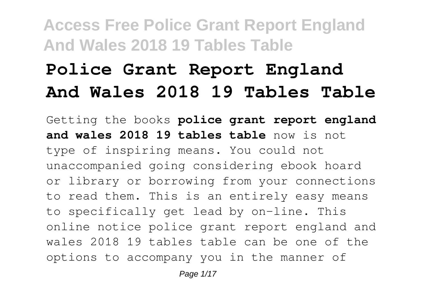# **Police Grant Report England And Wales 2018 19 Tables Table**

Getting the books **police grant report england and wales 2018 19 tables table** now is not type of inspiring means. You could not unaccompanied going considering ebook hoard or library or borrowing from your connections to read them. This is an entirely easy means to specifically get lead by on-line. This online notice police grant report england and wales 2018 19 tables table can be one of the options to accompany you in the manner of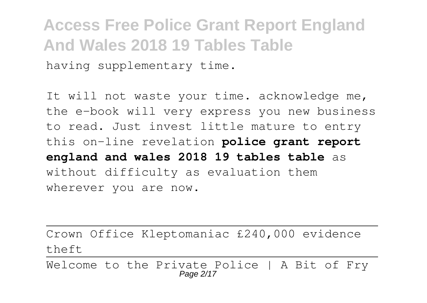**Access Free Police Grant Report England And Wales 2018 19 Tables Table** having supplementary time.

It will not waste your time. acknowledge me, the e-book will very express you new business to read. Just invest little mature to entry this on-line revelation **police grant report england and wales 2018 19 tables table** as without difficulty as evaluation them wherever you are now.

Crown Office Kleptomaniac £240,000 evidence theft

Welcome to the Private Police | A Bit of Fry Page 2/17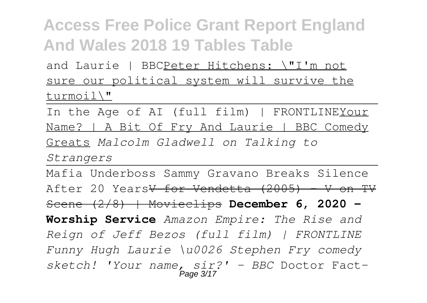and Laurie | BBCPeter Hitchens: \"I'm not sure our political system will survive the turmoil\"

In the Age of AI (full film) | FRONTLINEYour Name? | A Bit Of Fry And Laurie | BBC Comedy Greats *Malcolm Gladwell on Talking to*

*Strangers*

Mafia Underboss Sammy Gravano Breaks Silence After 20 Years<del>V for Vendetta (2005) - V on TV</del> Scene (2/8) | Movieclips **December 6, 2020 - Worship Service** *Amazon Empire: The Rise and Reign of Jeff Bezos (full film) | FRONTLINE Funny Hugh Laurie \u0026 Stephen Fry comedy sketch! 'Your name, sir?' - BBC* Doctor Fact-Page 3/17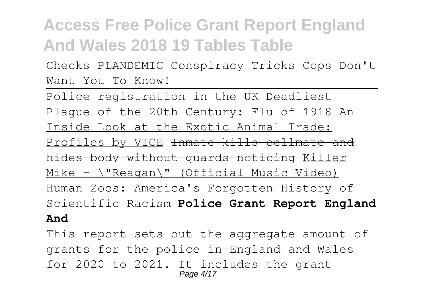Checks PLANDEMIC Conspiracy Tricks Cops Don't Want You To Know!

Police registration in the UK Deadliest Plaque of the 20th Century: Flu of 1918 An Inside Look at the Exotic Animal Trade: Profiles by VICE Inmate kills cellmate and hides body without guards noticing Killer Mike -  $\langle$ "Reagan $\rangle$ " (Official Music Video) Human Zoos: America's Forgotten History of Scientific Racism **Police Grant Report England And**

This report sets out the aggregate amount of grants for the police in England and Wales for 2020 to 2021. It includes the grant Page 4/17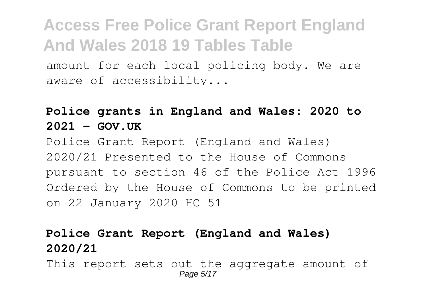amount for each local policing body. We are aware of accessibility...

#### **Police grants in England and Wales: 2020 to**  $2021 - GOV$  UK

Police Grant Report (England and Wales) 2020/21 Presented to the House of Commons pursuant to section 46 of the Police Act 1996 Ordered by the House of Commons to be printed on 22 January 2020 HC 51

#### **Police Grant Report (England and Wales) 2020/21**

This report sets out the aggregate amount of Page 5/17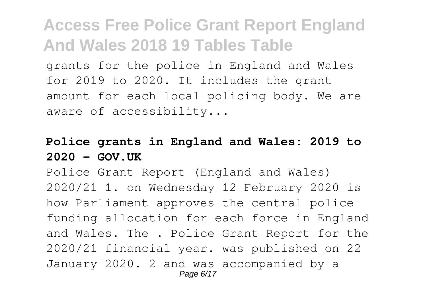grants for the police in England and Wales for 2019 to 2020. It includes the grant amount for each local policing body. We are aware of accessibility...

#### **Police grants in England and Wales: 2019 to 2020 - GOV.UK**

Police Grant Report (England and Wales) 2020/21 1. on Wednesday 12 February 2020 is how Parliament approves the central police funding allocation for each force in England and Wales. The . Police Grant Report for the 2020/21 financial year. was published on 22 January 2020. 2 and was accompanied by a Page 6/17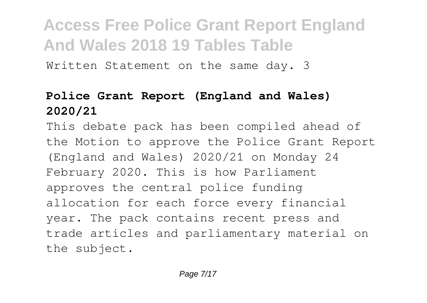Written Statement on the same day. 3

#### **Police Grant Report (England and Wales) 2020/21**

This debate pack has been compiled ahead of the Motion to approve the Police Grant Report (England and Wales) 2020/21 on Monday 24 February 2020. This is how Parliament approves the central police funding allocation for each force every financial year. The pack contains recent press and trade articles and parliamentary material on the subject.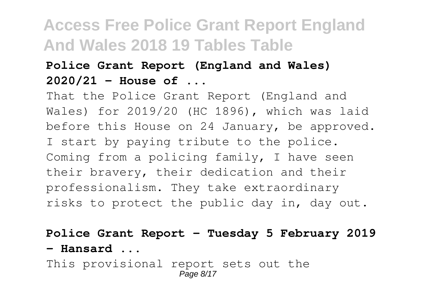#### **Police Grant Report (England and Wales) 2020/21 - House of ...**

That the Police Grant Report (England and Wales) for 2019/20 (HC 1896), which was laid before this House on 24 January, be approved. I start by paying tribute to the police. Coming from a policing family, I have seen their bravery, their dedication and their professionalism. They take extraordinary risks to protect the public day in, day out.

**Police Grant Report - Tuesday 5 February 2019 - Hansard ...**

This provisional report sets out the Page 8/17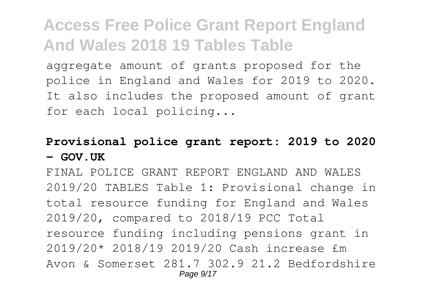aggregate amount of grants proposed for the police in England and Wales for 2019 to 2020. It also includes the proposed amount of grant for each local policing...

#### **Provisional police grant report: 2019 to 2020 - GOV.UK**

FINAL POLICE GRANT REPORT ENGLAND AND WALES 2019/20 TABLES Table 1: Provisional change in total resource funding for England and Wales 2019/20, compared to 2018/19 PCC Total resource funding including pensions grant in 2019/20\* 2018/19 2019/20 Cash increase £m Avon & Somerset 281.7 302.9 21.2 Bedfordshire Page  $9/17$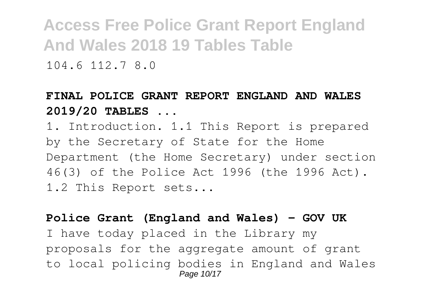104.6 112.7 8.0

#### **FINAL POLICE GRANT REPORT ENGLAND AND WALES 2019/20 TABLES ...**

1. Introduction. 1.1 This Report is prepared by the Secretary of State for the Home Department (the Home Secretary) under section 46(3) of the Police Act 1996 (the 1996 Act). 1.2 This Report sets...

#### **Police Grant (England and Wales) - GOV UK**

I have today placed in the Library my proposals for the aggregate amount of grant to local policing bodies in England and Wales Page 10/17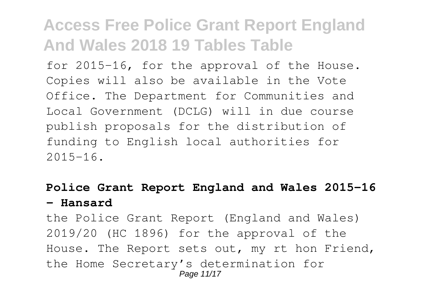for 2015-16, for the approval of the House. Copies will also be available in the Vote Office. The Department for Communities and Local Government (DCLG) will in due course publish proposals for the distribution of funding to English local authorities for  $2015 - 16$ .

#### **Police Grant Report England and Wales 2015-16 - Hansard**

the Police Grant Report (England and Wales) 2019/20 (HC 1896) for the approval of the House. The Report sets out, my rt hon Friend, the Home Secretary's determination for Page 11/17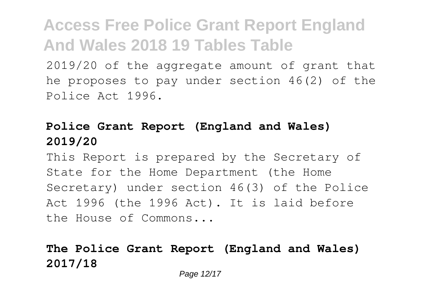2019/20 of the aggregate amount of grant that he proposes to pay under section 46(2) of the Police Act 1996.

#### **Police Grant Report (England and Wales) 2019/20**

This Report is prepared by the Secretary of State for the Home Department (the Home Secretary) under section 46(3) of the Police Act 1996 (the 1996 Act). It is laid before the House of Commons...

#### **The Police Grant Report (England and Wales) 2017/18**

Page 12/17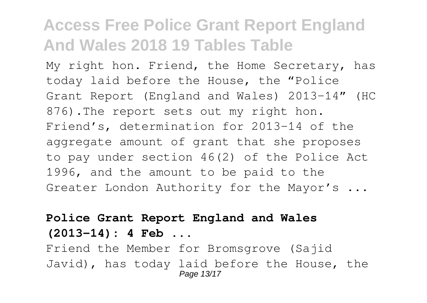My right hon. Friend, the Home Secretary, has today laid before the House, the "Police Grant Report (England and Wales) 2013-14" (HC 876). The report sets out my right hon. Friend's, determination for 2013-14 of the aggregate amount of grant that she proposes to pay under section 46(2) of the Police Act 1996, and the amount to be paid to the Greater London Authority for the Mayor's ...

#### **Police Grant Report England and Wales**

**(2013-14): 4 Feb ...**

Friend the Member for Bromsgrove (Sajid Javid), has today laid before the House, the Page 13/17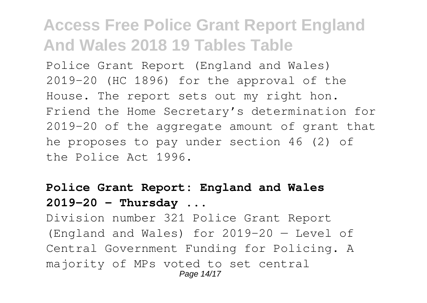Police Grant Report (England and Wales) 2019-20 (HC 1896) for the approval of the House. The report sets out my right hon. Friend the Home Secretary's determination for 2019-20 of the aggregate amount of grant that he proposes to pay under section 46 (2) of the Police Act 1996.

#### **Police Grant Report: England and Wales 2019-20 - Thursday ...**

Division number 321 Police Grant Report (England and Wales) for 2019-20 — Level of Central Government Funding for Policing. A majority of MPs voted to set central Page 14/17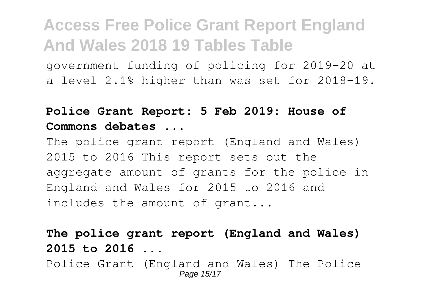government funding of policing for 2019-20 at a level 2.1% higher than was set for 2018-19.

#### **Police Grant Report: 5 Feb 2019: House of Commons debates ...**

The police grant report (England and Wales) 2015 to 2016 This report sets out the aggregate amount of grants for the police in England and Wales for 2015 to 2016 and includes the amount of grant...

**The police grant report (England and Wales) 2015 to 2016 ...**

Police Grant (England and Wales) The Police Page 15/17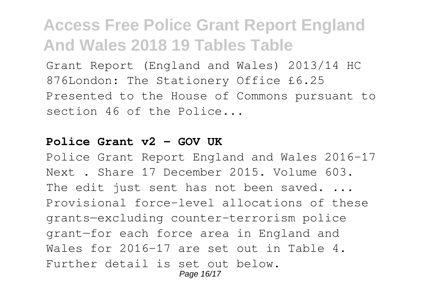Grant Report (England and Wales) 2013/14 HC 876London: The Stationery Office £6.25 Presented to the House of Commons pursuant to section 46 of the Police...

#### **Police Grant v2 - GOV UK**

Police Grant Report England and Wales 2016-17 Next . Share 17 December 2015. Volume 603. The edit just sent has not been saved. ... Provisional force-level allocations of these grants—excluding counter-terrorism police grant—for each force area in England and Wales for 2016-17 are set out in Table 4. Further detail is set out below. Page 16/17